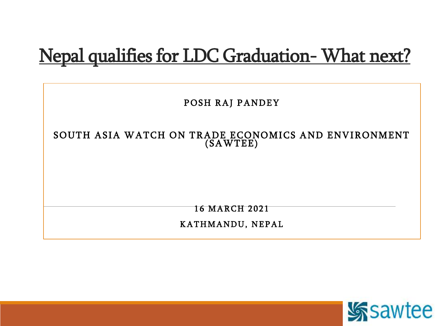## Nepal qualifies for LDC Graduation- What next?



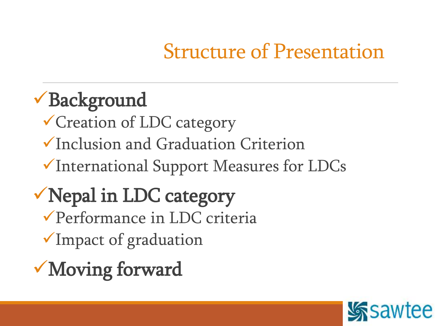## Structure of Presentation

## Background

Creation of LDC category

- Inclusion and Graduation Criterion
- International Support Measures for LDCs

## Nepal in LDC category Performance in LDC criteria Impact of graduation

Moving forward

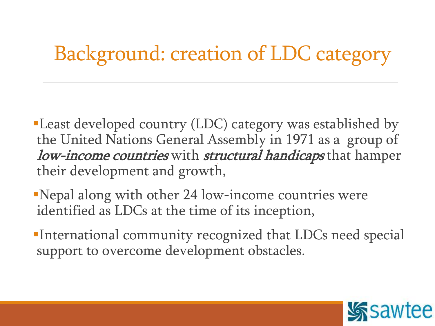# Background: creation of LDC category

- **-Least developed country (LDC) category was established by** the United Nations General Assembly in 1971 as a group of low-income countries with structural handicaps that hamper their development and growth,
- Nepal along with other 24 low-income countries were identified as LDCs at the time of its inception,
- International community recognized that LDCs need special support to overcome development obstacles.

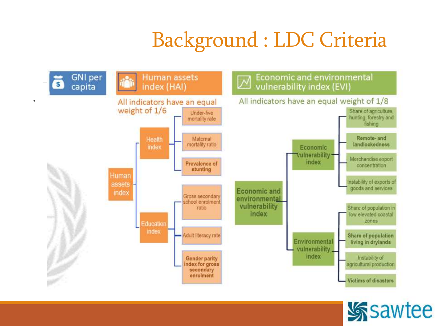# Background : LDC Criteria



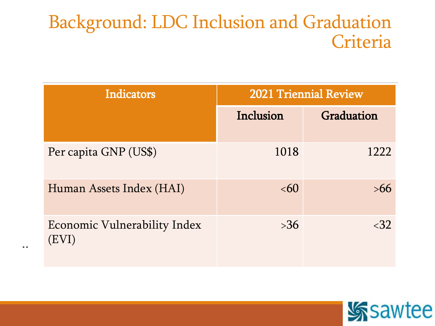#### Background: LDC Inclusion and Graduation Criteria

| Indicators                                   | <b>2021 Triennial Review</b> |            |  |
|----------------------------------------------|------------------------------|------------|--|
|                                              | Inclusion                    | Graduation |  |
| Per capita GNP (US\$)                        | 1018                         | 1222       |  |
| Human Assets Index (HAI)                     | &50                          | >66        |  |
| <b>Economic Vulnerability Index</b><br>(EVI) | >36                          | < 32       |  |

..

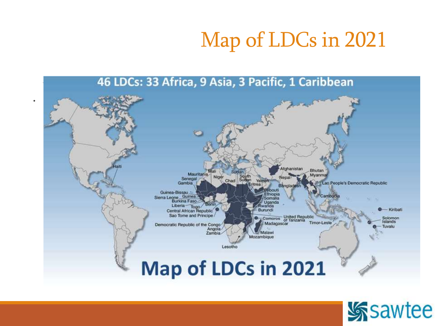## Map of LDCs in 2021



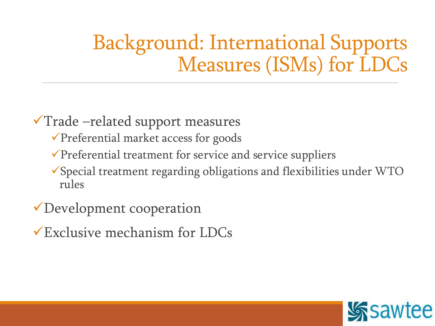## Background: International Supports Measures (ISMs) for LDCs

#### $\sqrt{T}$ rade –related support measures

- $\sqrt{\text{Preferential market access}}$  for goods
- $\sqrt{\text{Preferential treatment}}$  for service and service suppliers
- $\checkmark$  Special treatment regarding obligations and flexibilities under WTO rules
- Development cooperation
- Exclusive mechanism for LDCs

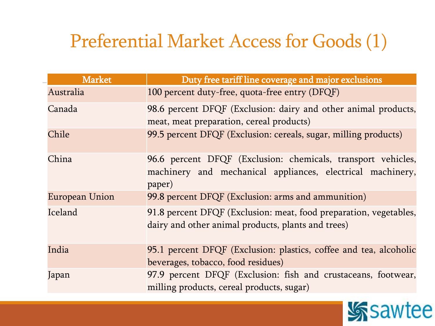## Preferential Market Access for Goods (1)

| <b>Market</b>  | Duty free tariff line coverage and major exclusions                                                                                  |
|----------------|--------------------------------------------------------------------------------------------------------------------------------------|
| Australia      | 100 percent duty-free, quota-free entry (DFQF)                                                                                       |
| Canada         | 98.6 percent DFQF (Exclusion: dairy and other animal products,<br>meat, meat preparation, cereal products)                           |
| Chile          | 99.5 percent DFQF (Exclusion: cereals, sugar, milling products)                                                                      |
| China          | 96.6 percent DFQF (Exclusion: chemicals, transport vehicles,<br>machinery and mechanical appliances, electrical machinery,<br>paper) |
| European Union | 99.8 percent DFQF (Exclusion: arms and ammunition)                                                                                   |
| Iceland        | 91.8 percent DFQF (Exclusion: meat, food preparation, vegetables,<br>dairy and other animal products, plants and trees)              |
| India          | 95.1 percent DFQF (Exclusion: plastics, coffee and tea, alcoholic<br>beverages, tobacco, food residues)                              |
| Japan          | 97.9 percent DFQF (Exclusion: fish and crustaceans, footwear,<br>milling products, cereal products, sugar)                           |

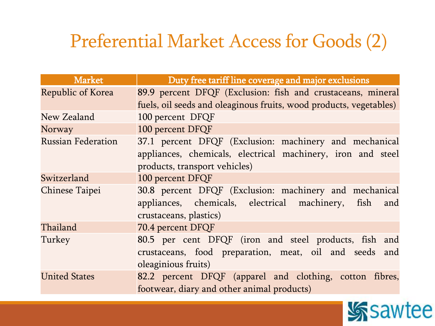## Preferential Market Access for Goods (2)

| <b>Market</b>             | Duty free tariff line coverage and major exclusions                |  |  |
|---------------------------|--------------------------------------------------------------------|--|--|
| Republic of Korea         | 89.9 percent DFQF (Exclusion: fish and crustaceans, mineral        |  |  |
|                           | fuels, oil seeds and oleaginous fruits, wood products, vegetables) |  |  |
| New Zealand               | 100 percent DFQF                                                   |  |  |
| <b>Norway</b>             | 100 percent DFQF                                                   |  |  |
| <b>Russian Federation</b> | 37.1 percent DFQF (Exclusion: machinery and mechanical             |  |  |
|                           | appliances, chemicals, electrical machinery, iron and steel        |  |  |
|                           | products, transport vehicles)                                      |  |  |
| Switzerland               | 100 percent DFQF                                                   |  |  |
| <b>Chinese Taipei</b>     | 30.8 percent DFQF (Exclusion: machinery and mechanical             |  |  |
|                           | appliances, chemicals, electrical machinery, fish<br>and           |  |  |
|                           | crustaceans, plastics)                                             |  |  |
| Thailand                  | 70.4 percent DFQF                                                  |  |  |
| Turkey                    | 80.5 per cent DFQF (iron and steel products, fish and              |  |  |
|                           | crustaceans, food preparation, meat, oil and seeds and             |  |  |
|                           | oleaginious fruits)                                                |  |  |
| <b>United States</b>      | 82.2 percent DFQF (apparel and clothing, cotton fibres,            |  |  |
|                           | footwear, diary and other animal products)                         |  |  |

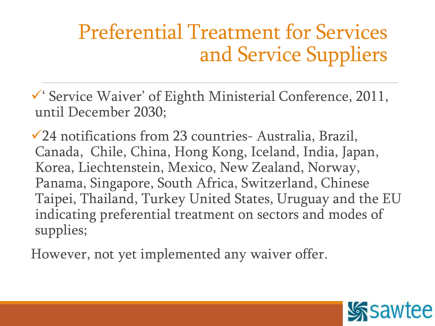## Preferential Treatment for Services and Service Suppliers

' Service Waiver' of Eighth Ministerial Conference, 2011, until December 2030;

 $\sqrt{24}$  notifications from 23 countries- Australia, Brazil, Canada, Chile, China, Hong Kong, Iceland, India, Japan, Korea, Liechtenstein, Mexico, New Zealand, Norway, Panama, Singapore, South Africa, Switzerland, Chinese Taipei, Thailand, Turkey United States, Uruguay and the EU indicating preferential treatment on sectors and modes of supplies;

However, not yet implemented any waiver offer.

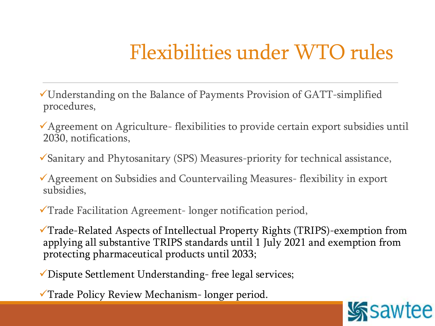## Flexibilities under WTO rules

- Understanding on the Balance of Payments Provision of GATT-simplified procedures,
- Agreement on Agriculture- flexibilities to provide certain export subsidies until 2030, notifications,
- Sanitary and Phytosanitary (SPS) Measures-priority for technical assistance,
- Agreement on Subsidies and Countervailing Measures- flexibility in export subsidies,
- $\checkmark$ Trade Facilitation Agreement- longer notification period,
- Trade-Related Aspects of Intellectual Property Rights (TRIPS)-exemption from applying all substantive TRIPS standards until 1 July 2021 and exemption from protecting pharmaceutical products until 2033;
- Dispute Settlement Understanding- free legal services;
- Trade Policy Review Mechanism- longer period.

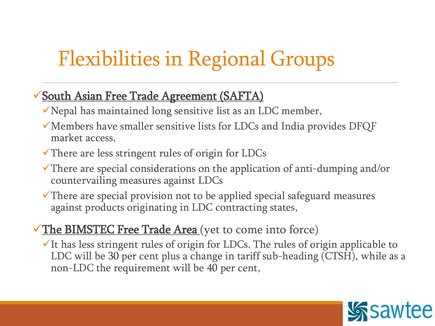## Flexibilities in Regional Groups

#### South Asian Free Trade Agreement (SAFTA)

- $\checkmark$  Nepal has maintained long sensitive list as an LDC member,
- $\checkmark$  Members have smaller sensitive lists for LDCs and India provides DFQF market access,
- $\checkmark$  There are less stringent rules of origin for LDCs
- $\checkmark$  There are special considerations on the application of anti-dumping and/or countervailing measures against LDCs
- There are special provision not to be applied special safeguard measures against products originating in LDC contracting states,

#### $\sqrt{\text{The BIMSTEC}$  Free Trade Area (yet to come into force)

 $\checkmark$  It has less stringent rules of origin for LDCs. The rules of origin applicable to LDC will be 30 per cent plus a change in tariff sub-heading (CTSH), while as a non-LDC the requirement will be 40 per cent,

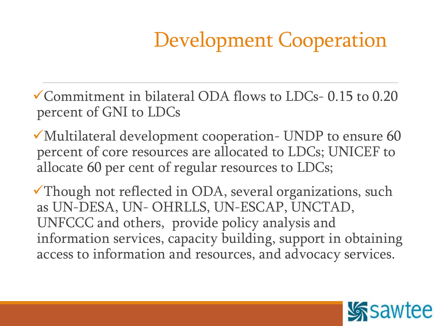# Development Cooperation

Commitment in bilateral ODA flows to LDCs- 0.15 to 0.20 percent of GNI to LDCs

 $\checkmark$  Multilateral development cooperation- UNDP to ensure 60 percent of core resources are allocated to LDCs; UNICEF to allocate 60 per cent of regular resources to LDCs;

 $\checkmark$ Though not reflected in ODA, several organizations, such as UN-DESA, UN- OHRLLS, UN-ESCAP, UNCTAD, UNFCCC and others, provide policy analysis and information services, capacity building, support in obtaining access to information and resources, and advocacy services.

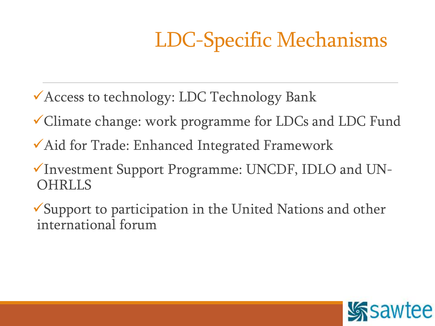# LDC-Specific Mechanisms

- Access to technology: LDC Technology Bank
- Climate change: work programme for LDCs and LDC Fund
- Aid for Trade: Enhanced Integrated Framework
- Investment Support Programme: UNCDF, IDLO and UN-OHRLLS
- Support to participation in the United Nations and other international forum

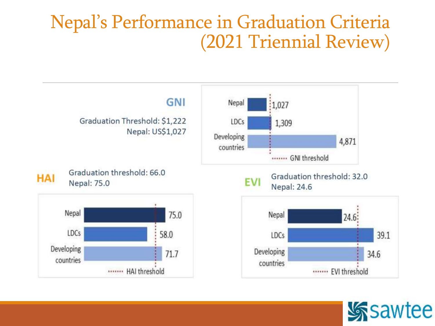#### Nepal's Performance in Graduation Criteria (2021 Triennial Review)



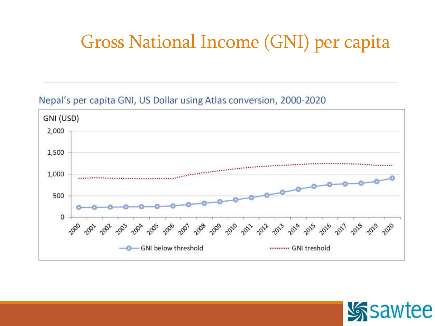### Gross National Income (GNI) per capita

#### Nepal's per capita GNI, US Dollar using Atlas conversion, 2000-2020



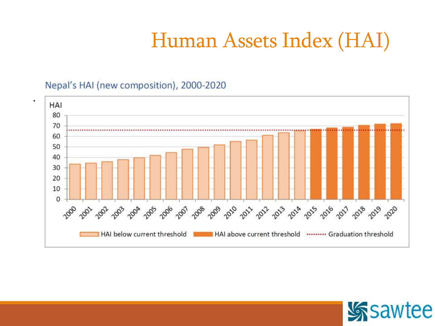## Human Assets Index (HAI)

#### Nepal's HAI (new composition), 2000-2020

.



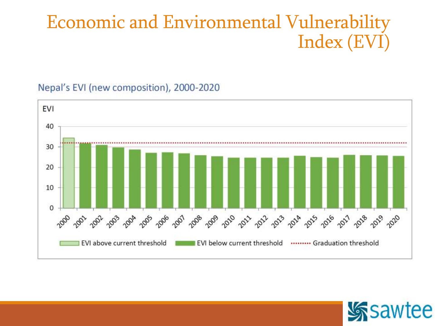#### Economic and Environmental Vulnerability Index (EVI)

#### Nepal's EVI (new composition), 2000-2020



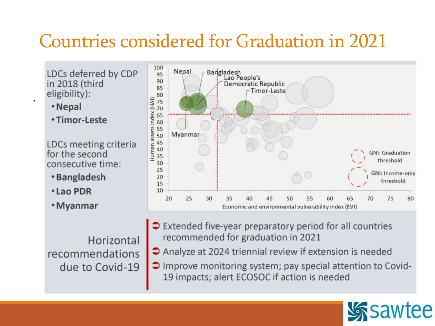### Countries considered for Graduation in 2021

LDCs deferred by CDP in 2018 (third eligibility):

• Nepal

.

• Timor-Leste

LDCs meeting criteria for the second consecutive time:

- \*Bangladesh
- Lao PDR
- Myanmar

Horizontal recommendations due to Covid-19



- $\triangleright$  Extended five-year preparatory period for all countries recommended for graduation in 2021
- → Analyze at 2024 triennial review if extension is needed
- Improve monitoring system; pay special attention to Covid-19 impacts; alert ECOSOC if action is needed

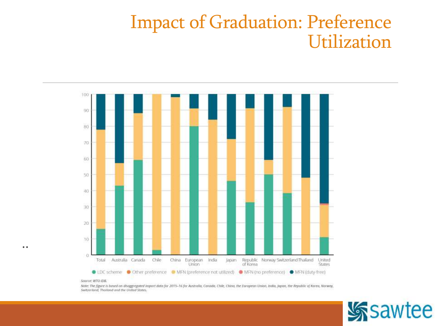#### Impact of Graduation: Preference Utilization



Source: WTO IDB.

..

Note: The figure is based on disaggregated import data for 2015-16 for Australia, Canada, Chile, China, the European Union, India, Japan, the Republic of Korea, Norway, Switzerland, Thailand and the United States.

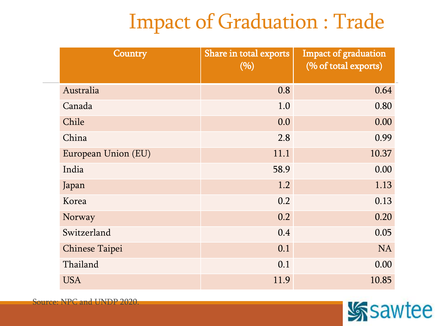## Impact of Graduation : Trade

| Country             | Share in total exports<br>(%) | Impact of graduation<br>(% of total exports) |
|---------------------|-------------------------------|----------------------------------------------|
| Australia           | 0.8                           | 0.64                                         |
| Canada              | 1.0                           | 0.80                                         |
| Chile               | 0.0                           | 0.00                                         |
| China               | 2.8                           | 0.99                                         |
| European Union (EU) | 11.1                          | 10.37                                        |
| India               | 58.9                          | 0.00                                         |
| Japan               | 1.2                           | 1.13                                         |
| Korea               | 0.2                           | 0.13                                         |
| Norway              | 0.2                           | 0.20                                         |
| Switzerland         | 0.4                           | 0.05                                         |
| Chinese Taipei      | 0.1                           | <b>NA</b>                                    |
| Thailand            | 0.1                           | 0.00                                         |
| <b>USA</b>          | 11.9                          | 10.85                                        |

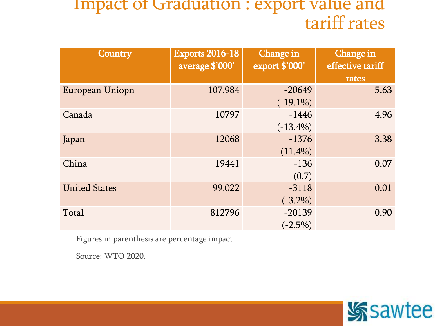#### Impact of Graduation : export value and tariff rates

| Country              | <b>Exports 2016-18</b><br>average \$'000' | Change in<br>export \$'000' | Change in<br>effective tariff<br>rates |
|----------------------|-------------------------------------------|-----------------------------|----------------------------------------|
| European Uniopn      | 107.984                                   | $-20649$<br>$(-19.1\%)$     | 5.63                                   |
| Canada               | 10797                                     | $-1446$<br>$(-13.4\%)$      | 4.96                                   |
| Japan                | 12068                                     | $-1376$<br>$(11.4\%)$       | 3.38                                   |
| China                | 19441                                     | $-136$<br>(0.7)             | 0.07                                   |
| <b>United States</b> | 99,022                                    | $-3118$<br>$(-3.2\%)$       | 0.01                                   |
| Total                | 812796                                    | $-20139$<br>$(-2.5\%)$      | 0.90                                   |

Figures in parenthesis are percentage impact

Source: WTO 2020.

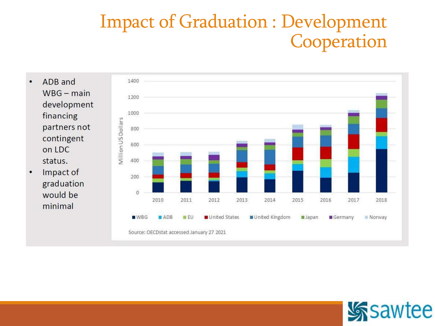## Impact of Graduation : Development Cooperation

- ADB and  $\bullet$  $WBG - main$ development financing partners not contingent on LDC status.
- Impact of  $\bullet$ graduation would be minimal



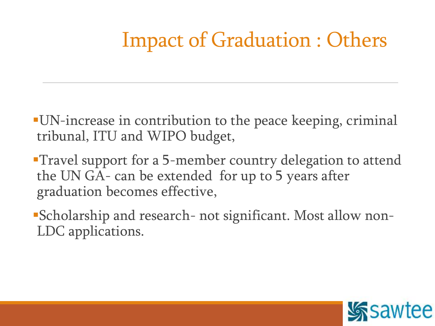## Impact of Graduation : Others

- UN-increase in contribution to the peace keeping, criminal tribunal, ITU and WIPO budget,
- **Travel support for a 5-member country delegation to attend** the UN GA- can be extended for up to 5 years after graduation becomes effective,
- Scholarship and research- not significant. Most allow non-LDC applications.

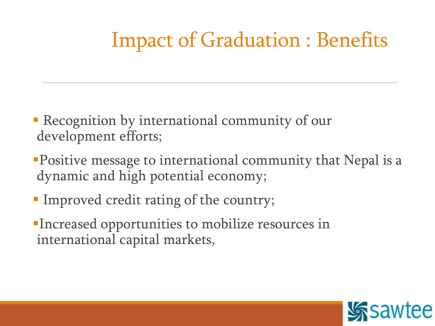## Impact of Graduation : Benefits

- **Recognition by international community of our** development efforts;
- Positive message to international community that Nepal is a dynamic and high potential economy;
- **Improved credit rating of the country;**
- Increased opportunities to mobilize resources in international capital markets,

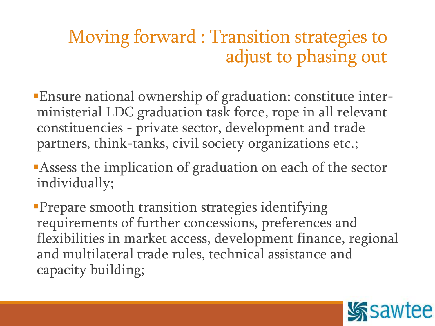### Moving forward : Transition strategies to adjust to phasing out

- Ensure national ownership of graduation: constitute interministerial LDC graduation task force, rope in all relevant constituencies - private sector, development and trade partners, think-tanks, civil society organizations etc.;
- Assess the implication of graduation on each of the sector individually;
- **Prepare smooth transition strategies identifying** requirements of further concessions, preferences and flexibilities in market access, development finance, regional and multilateral trade rules, technical assistance and capacity building;

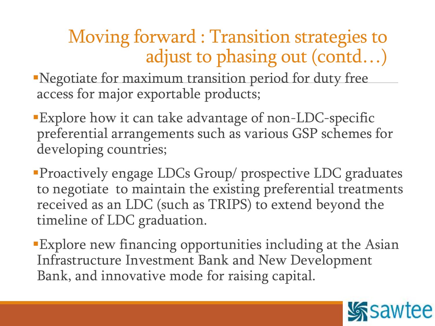Moving forward : Transition strategies to adjust to phasing out (contd…)

Negotiate for maximum transition period for duty free access for major exportable products;

- Explore how it can take advantage of non-LDC-specific preferential arrangements such as various GSP schemes for developing countries;
- Proactively engage LDCs Group/ prospective LDC graduates to negotiate to maintain the existing preferential treatments received as an LDC (such as TRIPS) to extend beyond the timeline of LDC graduation.
- Explore new financing opportunities including at the Asian Infrastructure Investment Bank and New Development Bank, and innovative mode for raising capital.

![](_page_26_Picture_5.jpeg)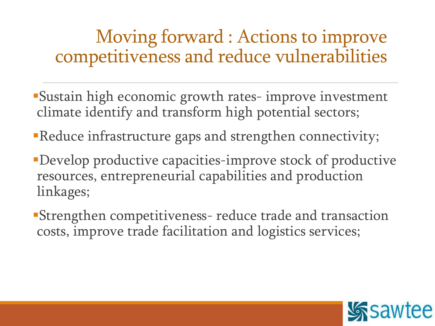#### Moving forward : Actions to improve competitiveness and reduce vulnerabilities

- Sustain high economic growth rates- improve investment climate identify and transform high potential sectors;
- Reduce infrastructure gaps and strengthen connectivity;
- Develop productive capacities-improve stock of productive resources, entrepreneurial capabilities and production linkages;
- Strengthen competitiveness- reduce trade and transaction costs, improve trade facilitation and logistics services;

![](_page_27_Picture_5.jpeg)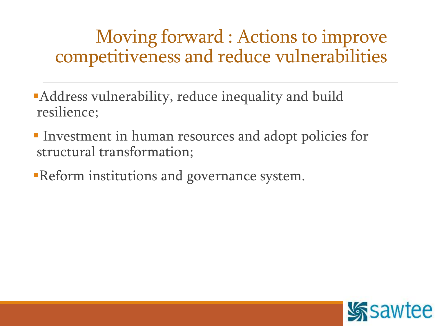#### Moving forward : Actions to improve competitiveness and reduce vulnerabilities

- Address vulnerability, reduce inequality and build resilience;
- **Investment in human resources and adopt policies for** structural transformation;
- **Reform institutions and governance system.**

![](_page_28_Picture_4.jpeg)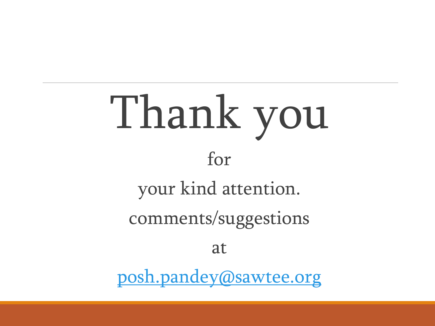# Thank you for your kind attention. comments/suggestions at [posh.pandey@sawtee.org](mailto:posh.pandey@sawtee.org)